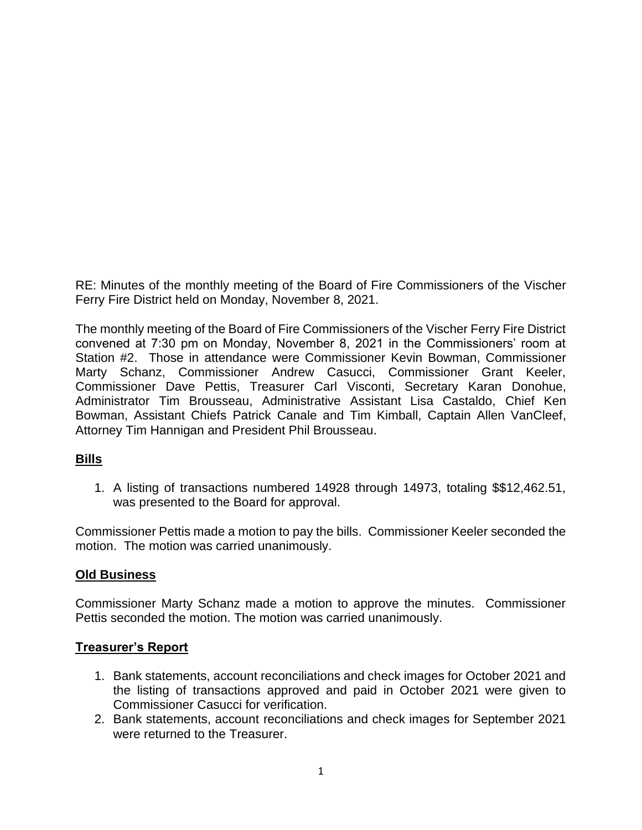RE: Minutes of the monthly meeting of the Board of Fire Commissioners of the Vischer Ferry Fire District held on Monday, November 8, 2021.

The monthly meeting of the Board of Fire Commissioners of the Vischer Ferry Fire District convened at 7:30 pm on Monday, November 8, 2021 in the Commissioners' room at Station #2. Those in attendance were Commissioner Kevin Bowman, Commissioner Marty Schanz, Commissioner Andrew Casucci, Commissioner Grant Keeler, Commissioner Dave Pettis, Treasurer Carl Visconti, Secretary Karan Donohue, Administrator Tim Brousseau, Administrative Assistant Lisa Castaldo, Chief Ken Bowman, Assistant Chiefs Patrick Canale and Tim Kimball, Captain Allen VanCleef, Attorney Tim Hannigan and President Phil Brousseau.

#### **Bills**

1. A listing of transactions numbered 14928 through 14973, totaling \$\$12,462.51, was presented to the Board for approval.

Commissioner Pettis made a motion to pay the bills. Commissioner Keeler seconded the motion. The motion was carried unanimously.

#### **Old Business**

Commissioner Marty Schanz made a motion to approve the minutes. Commissioner Pettis seconded the motion. The motion was carried unanimously.

#### **Treasurer's Report**

- 1. Bank statements, account reconciliations and check images for October 2021 and the listing of transactions approved and paid in October 2021 were given to Commissioner Casucci for verification.
- 2. Bank statements, account reconciliations and check images for September 2021 were returned to the Treasurer.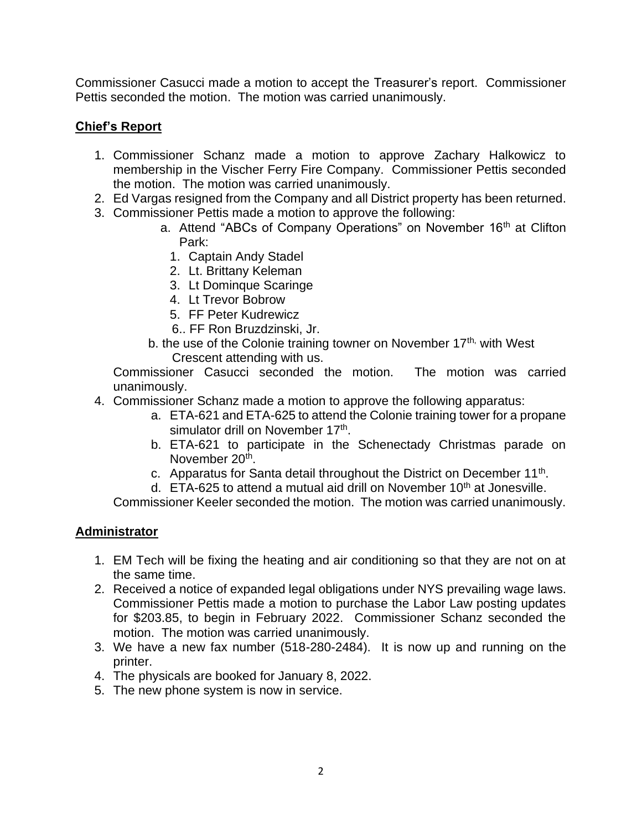Commissioner Casucci made a motion to accept the Treasurer's report. Commissioner Pettis seconded the motion. The motion was carried unanimously.

# **Chief's Report**

- 1. Commissioner Schanz made a motion to approve Zachary Halkowicz to membership in the Vischer Ferry Fire Company. Commissioner Pettis seconded the motion. The motion was carried unanimously.
- 2. Ed Vargas resigned from the Company and all District property has been returned.
- 3. Commissioner Pettis made a motion to approve the following:
	- a. Attend "ABCs of Company Operations" on November 16<sup>th</sup> at Clifton Park:
		- 1. Captain Andy Stadel
		- 2. Lt. Brittany Keleman
		- 3. Lt Dominque Scaringe
		- 4. Lt Trevor Bobrow
		- 5. FF Peter Kudrewicz
	- 6.. FF Ron Bruzdzinski, Jr.
	- b. the use of the Colonie training towner on November  $17<sup>th</sup>$ , with West Crescent attending with us.

Commissioner Casucci seconded the motion. The motion was carried unanimously.

- 4. Commissioner Schanz made a motion to approve the following apparatus:
	- a. ETA-621 and ETA-625 to attend the Colonie training tower for a propane simulator drill on November 17<sup>th</sup>.
	- b. ETA-621 to participate in the Schenectady Christmas parade on November 20<sup>th</sup>.
	- c. Apparatus for Santa detail throughout the District on December 11<sup>th</sup>.
	- d.  $ETA-625$  to attend a mutual aid drill on November 10<sup>th</sup> at Jonesville.

Commissioner Keeler seconded the motion. The motion was carried unanimously.

### **Administrator**

- 1. EM Tech will be fixing the heating and air conditioning so that they are not on at the same time.
- 2. Received a notice of expanded legal obligations under NYS prevailing wage laws. Commissioner Pettis made a motion to purchase the Labor Law posting updates for \$203.85, to begin in February 2022. Commissioner Schanz seconded the motion. The motion was carried unanimously.
- 3. We have a new fax number (518-280-2484). It is now up and running on the printer.
- 4. The physicals are booked for January 8, 2022.
- 5. The new phone system is now in service.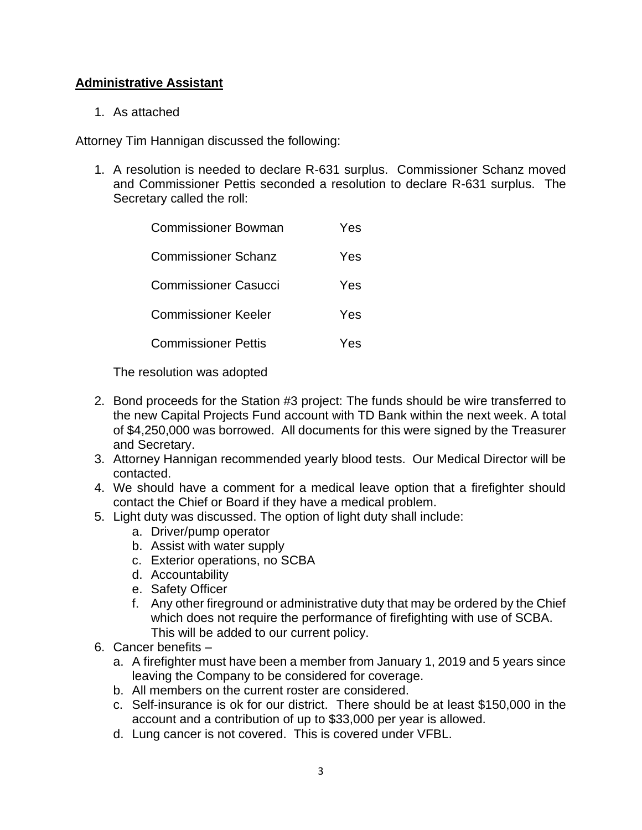### **Administrative Assistant**

1. As attached

Attorney Tim Hannigan discussed the following:

1. A resolution is needed to declare R-631 surplus. Commissioner Schanz moved and Commissioner Pettis seconded a resolution to declare R-631 surplus. The Secretary called the roll:

| Commissioner Bowman         | Yes |
|-----------------------------|-----|
| Commissioner Schanz         | Yes |
| <b>Commissioner Casucci</b> | Yes |
| Commissioner Keeler         | Yes |
| <b>Commissioner Pettis</b>  | Yes |
|                             |     |

The resolution was adopted

- 2. Bond proceeds for the Station #3 project: The funds should be wire transferred to the new Capital Projects Fund account with TD Bank within the next week. A total of \$4,250,000 was borrowed. All documents for this were signed by the Treasurer and Secretary.
- 3. Attorney Hannigan recommended yearly blood tests. Our Medical Director will be contacted.
- 4. We should have a comment for a medical leave option that a firefighter should contact the Chief or Board if they have a medical problem.
- 5. Light duty was discussed. The option of light duty shall include:
	- a. Driver/pump operator
	- b. Assist with water supply
	- c. Exterior operations, no SCBA
	- d. Accountability
	- e. Safety Officer
	- f. Any other fireground or administrative duty that may be ordered by the Chief which does not require the performance of firefighting with use of SCBA. This will be added to our current policy.
- 6. Cancer benefits
	- a. A firefighter must have been a member from January 1, 2019 and 5 years since leaving the Company to be considered for coverage.
	- b. All members on the current roster are considered.
	- c. Self-insurance is ok for our district. There should be at least \$150,000 in the account and a contribution of up to \$33,000 per year is allowed.
	- d. Lung cancer is not covered. This is covered under VFBL.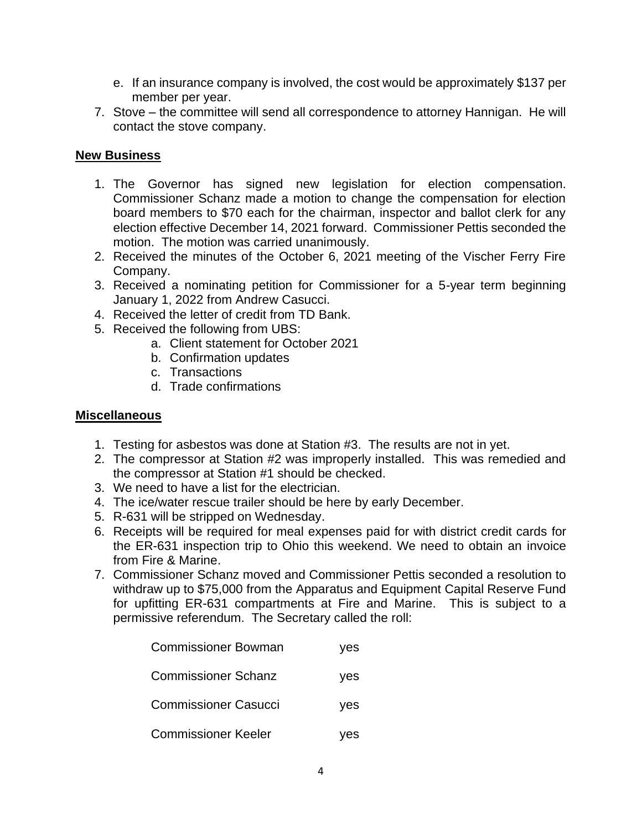- e. If an insurance company is involved, the cost would be approximately \$137 per member per year.
- 7. Stove the committee will send all correspondence to attorney Hannigan. He will contact the stove company.

### **New Business**

- 1. The Governor has signed new legislation for election compensation. Commissioner Schanz made a motion to change the compensation for election board members to \$70 each for the chairman, inspector and ballot clerk for any election effective December 14, 2021 forward. Commissioner Pettis seconded the motion. The motion was carried unanimously.
- 2. Received the minutes of the October 6, 2021 meeting of the Vischer Ferry Fire Company.
- 3. Received a nominating petition for Commissioner for a 5-year term beginning January 1, 2022 from Andrew Casucci.
- 4. Received the letter of credit from TD Bank.
- 5. Received the following from UBS:
	- a. Client statement for October 2021
	- b. Confirmation updates
	- c. Transactions
	- d. Trade confirmations

#### **Miscellaneous**

- 1. Testing for asbestos was done at Station #3. The results are not in yet.
- 2. The compressor at Station #2 was improperly installed. This was remedied and the compressor at Station #1 should be checked.
- 3. We need to have a list for the electrician.
- 4. The ice/water rescue trailer should be here by early December.
- 5. R-631 will be stripped on Wednesday.
- 6. Receipts will be required for meal expenses paid for with district credit cards for the ER-631 inspection trip to Ohio this weekend. We need to obtain an invoice from Fire & Marine.
- 7. Commissioner Schanz moved and Commissioner Pettis seconded a resolution to withdraw up to \$75,000 from the Apparatus and Equipment Capital Reserve Fund for upfitting ER-631 compartments at Fire and Marine. This is subject to a permissive referendum. The Secretary called the roll:

| <b>Commissioner Bowman</b>  | ves |
|-----------------------------|-----|
| <b>Commissioner Schanz</b>  | yes |
| <b>Commissioner Casucci</b> | yes |
| <b>Commissioner Keeler</b>  | /es |